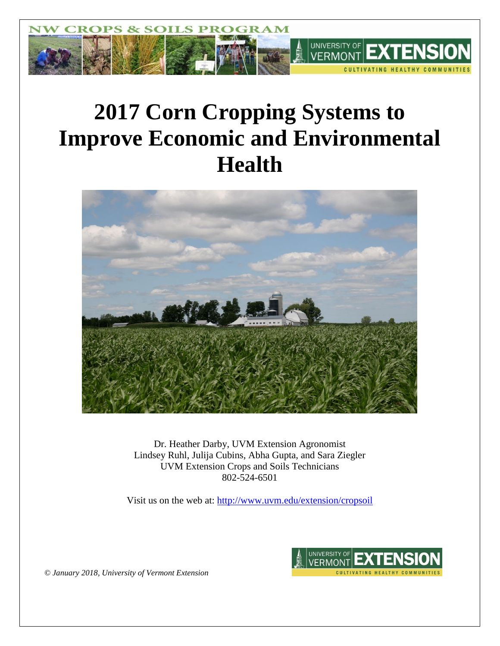

# **2017 Corn Cropping Systems to Improve Economic and Environmental Health**



Dr. Heather Darby, UVM Extension Agronomist Lindsey Ruhl, Julija Cubins, Abha Gupta, and Sara Ziegler UVM Extension Crops and Soils Technicians 802-524-6501

Visit us on the web at: <http://www.uvm.edu/extension/cropsoil>



*© January 2018, University of Vermont Extension*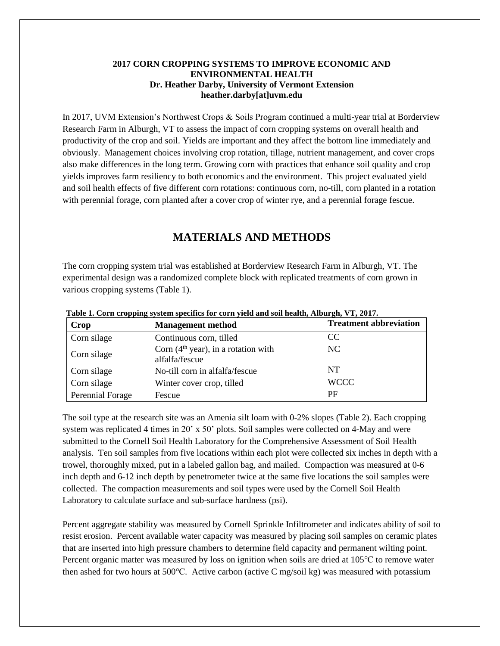## **2017 CORN CROPPING SYSTEMS TO IMPROVE ECONOMIC AND ENVIRONMENTAL HEALTH Dr. Heather Darby, University of Vermont Extension heather.darby[at]uvm.edu**

In 2017, UVM Extension's Northwest Crops & Soils Program continued a multi-year trial at Borderview Research Farm in Alburgh, VT to assess the impact of corn cropping systems on overall health and productivity of the crop and soil. Yields are important and they affect the bottom line immediately and obviously. Management choices involving crop rotation, tillage, nutrient management, and cover crops also make differences in the long term. Growing corn with practices that enhance soil quality and crop yields improves farm resiliency to both economics and the environment. This project evaluated yield and soil health effects of five different corn rotations: continuous corn, no-till, corn planted in a rotation with perennial forage, corn planted after a cover crop of winter rye, and a perennial forage fescue.

# **MATERIALS AND METHODS**

The corn cropping system trial was established at Borderview Research Farm in Alburgh, VT. The experimental design was a randomized complete block with replicated treatments of corn grown in various cropping systems (Table 1).

| Crop             | <b>Management method</b>                                | <b>Treatment abbreviation</b> |
|------------------|---------------------------------------------------------|-------------------------------|
| Corn silage      | Continuous corn, tilled                                 | CC.                           |
| Corn silage      | Corn $(4th$ year), in a rotation with<br>alfalfa/fescue | NC.                           |
| Corn silage      | No-till corn in alfalfa/fescue                          | NT.                           |
| Corn silage      | Winter cover crop, tilled                               | <b>WCCC</b>                   |
| Perennial Forage | Fescue                                                  | PF                            |

**Table 1. Corn cropping system specifics for corn yield and soil health, Alburgh, VT, 2017.**

The soil type at the research site was an Amenia silt loam with 0-2% slopes (Table 2). Each cropping system was replicated 4 times in 20' x 50' plots. Soil samples were collected on 4-May and were submitted to the Cornell Soil Health Laboratory for the Comprehensive Assessment of Soil Health analysis. Ten soil samples from five locations within each plot were collected six inches in depth with a trowel, thoroughly mixed, put in a labeled gallon bag, and mailed. Compaction was measured at 0-6 inch depth and 6-12 inch depth by penetrometer twice at the same five locations the soil samples were collected. The compaction measurements and soil types were used by the Cornell Soil Health Laboratory to calculate surface and sub-surface hardness (psi).

Percent aggregate stability was measured by Cornell Sprinkle Infiltrometer and indicates ability of soil to resist erosion. Percent available water capacity was measured by placing soil samples on ceramic plates that are inserted into high pressure chambers to determine field capacity and permanent wilting point. Percent organic matter was measured by loss on ignition when soils are dried at 105℃ to remove water then ashed for two hours at 500℃. Active carbon (active C mg/soil kg) was measured with potassium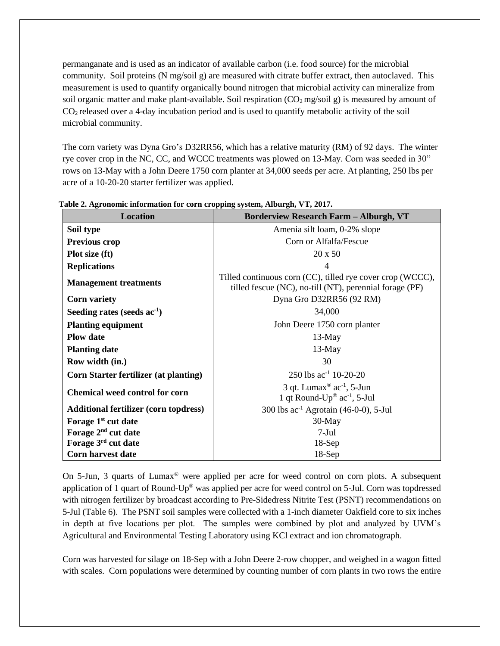permanganate and is used as an indicator of available carbon (i.e. food source) for the microbial community. Soil proteins (N mg/soil g) are measured with citrate buffer extract, then autoclaved. This measurement is used to quantify organically bound nitrogen that microbial activity can mineralize from soil organic matter and make plant-available. Soil respiration  $(CO_2 \text{ mg/soil g})$  is measured by amount of CO<sup>2</sup> released over a 4-day incubation period and is used to quantify metabolic activity of the soil microbial community.

The corn variety was Dyna Gro's D32RR56, which has a relative maturity (RM) of 92 days. The winter rye cover crop in the NC, CC, and WCCC treatments was plowed on 13-May. Corn was seeded in 30" rows on 13-May with a John Deere 1750 corn planter at 34,000 seeds per acre. At planting, 250 lbs per acre of a 10-20-20 starter fertilizer was applied.

| <b>Location</b>                              | <b>Borderview Research Farm - Alburgh, VT</b>                                                                         |
|----------------------------------------------|-----------------------------------------------------------------------------------------------------------------------|
| Soil type                                    | Amenia silt loam, 0-2% slope                                                                                          |
| <b>Previous crop</b>                         | Corn or Alfalfa/Fescue                                                                                                |
| Plot size (ft)                               | 20 x 50                                                                                                               |
| <b>Replications</b>                          | 4                                                                                                                     |
| <b>Management treatments</b>                 | Tilled continuous corn (CC), tilled rye cover crop (WCCC),<br>tilled fescue (NC), no-till (NT), perennial forage (PF) |
| <b>Corn variety</b>                          | Dyna Gro D32RR56 (92 RM)                                                                                              |
| Seeding rates (seeds $ac^{-1}$ )             | 34,000                                                                                                                |
| <b>Planting equipment</b>                    | John Deere 1750 corn planter                                                                                          |
| <b>Plow date</b>                             | $13$ -May                                                                                                             |
| <b>Planting date</b>                         | 13-May                                                                                                                |
| Row width (in.)                              | 30                                                                                                                    |
| <b>Corn Starter fertilizer (at planting)</b> | 250 lbs $ac^{-1}$ 10-20-20                                                                                            |
| <b>Chemical weed control for corn</b>        | 3 qt. Lumax <sup>®</sup> ac <sup>-1</sup> , 5-Jun<br>1 qt Round- $Up^{\circledast}$ ac <sup>-1</sup> , 5-Jul          |
| <b>Additional fertilizer (corn topdress)</b> | 300 lbs $ac^{-1}$ Agrotain (46-0-0), 5-Jul                                                                            |
| Forage 1 <sup>st</sup> cut date              | $30-May$                                                                                                              |
| Forage 2 <sup>nd</sup> cut date              | $7-Jul$                                                                                                               |
| Forage 3rd cut date                          | $18-Sep$                                                                                                              |
| <b>Corn harvest date</b>                     | $18-Sep$                                                                                                              |

**Table 2. Agronomic information for corn cropping system, Alburgh, VT, 2017.**

On 5-Jun, 3 quarts of Lumax® were applied per acre for weed control on corn plots. A subsequent application of 1 quart of Round-Up® was applied per acre for weed control on 5-Jul. Corn was topdressed with nitrogen fertilizer by broadcast according to Pre-Sidedress Nitrite Test (PSNT) recommendations on 5-Jul (Table 6). The PSNT soil samples were collected with a 1-inch diameter Oakfield core to six inches in depth at five locations per plot. The samples were combined by plot and analyzed by UVM's Agricultural and Environmental Testing Laboratory using KCl extract and ion chromatograph.

Corn was harvested for silage on 18-Sep with a John Deere 2-row chopper, and weighed in a wagon fitted with scales. Corn populations were determined by counting number of corn plants in two rows the entire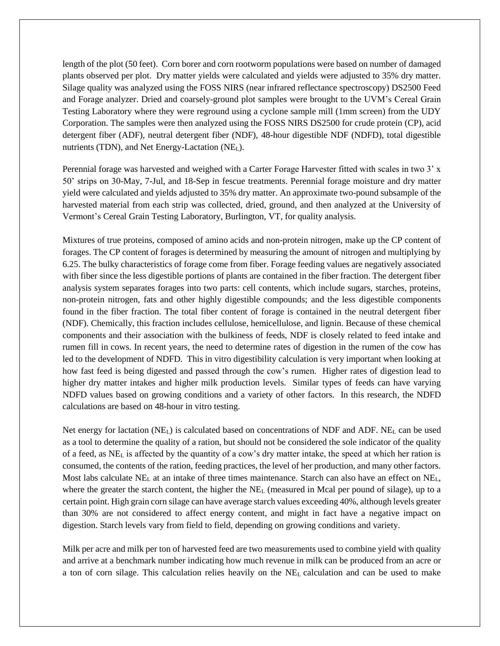length of the plot (50 feet). Corn borer and corn rootworm populations were based on number of damaged plants observed per plot. Dry matter yields were calculated and yields were adjusted to 35% dry matter. Silage quality was analyzed using the FOSS NIRS (near infrared reflectance spectroscopy) DS2500 Feed and Forage analyzer. Dried and coarsely-ground plot samples were brought to the UVM's Cereal Grain Testing Laboratory where they were reground using a cyclone sample mill (1mm screen) from the UDY Corporation. The samples were then analyzed using the FOSS NIRS DS2500 for crude protein (CP), acid detergent fiber (ADF), neutral detergent fiber (NDF), 48-hour digestible NDF (NDFD), total digestible nutrients (TDN), and Net Energy-Lactation (NEL).

Perennial forage was harvested and weighed with a Carter Forage Harvester fitted with scales in two 3' x 50' strips on 30-May, 7-Jul, and 18-Sep in fescue treatments. Perennial forage moisture and dry matter yield were calculated and yields adjusted to 35% dry matter. An approximate two-pound subsample of the harvested material from each strip was collected, dried, ground, and then analyzed at the University of Vermont's Cereal Grain Testing Laboratory, Burlington, VT, for quality analysis.

Mixtures of true proteins, composed of amino acids and non-protein nitrogen, make up the CP content of forages. The CP content of forages is determined by measuring the amount of nitrogen and multiplying by 6.25. The bulky characteristics of forage come from fiber. Forage feeding values are negatively associated with fiber since the less digestible portions of plants are contained in the fiber fraction. The detergent fiber analysis system separates forages into two parts: cell contents, which include sugars, starches, proteins, non-protein nitrogen, fats and other highly digestible compounds; and the less digestible components found in the fiber fraction. The total fiber content of forage is contained in the neutral detergent fiber (NDF). Chemically, this fraction includes cellulose, hemicellulose, and lignin. Because of these chemical components and their association with the bulkiness of feeds, NDF is closely related to feed intake and rumen fill in cows. In recent years, the need to determine rates of digestion in the rumen of the cow has led to the development of NDFD. This in vitro digestibility calculation is very important when looking at how fast feed is being digested and passed through the cow's rumen. Higher rates of digestion lead to higher dry matter intakes and higher milk production levels. Similar types of feeds can have varying NDFD values based on growing conditions and a variety of other factors. In this research, the NDFD calculations are based on 48-hour in vitro testing.

Net energy for lactation (NEL) is calculated based on concentrations of NDF and ADF. NE<sup>L</sup> can be used as a tool to determine the quality of a ration, but should not be considered the sole indicator of the quality of a feed, as NE<sup>L</sup> is affected by the quantity of a cow's dry matter intake, the speed at which her ration is consumed, the contents of the ration, feeding practices, the level of her production, and many other factors. Most labs calculate NE<sub>L</sub> at an intake of three times maintenance. Starch can also have an effect on NE<sub>L</sub>, where the greater the starch content, the higher the  $NE<sub>L</sub>$  (measured in Mcal per pound of silage), up to a certain point. High grain corn silage can have average starch values exceeding 40%, although levels greater than 30% are not considered to affect energy content, and might in fact have a negative impact on digestion. Starch levels vary from field to field, depending on growing conditions and variety.

Milk per acre and milk per ton of harvested feed are two measurements used to combine yield with quality and arrive at a benchmark number indicating how much revenue in milk can be produced from an acre or a ton of corn silage. This calculation relies heavily on the NE<sup>L</sup> calculation and can be used to make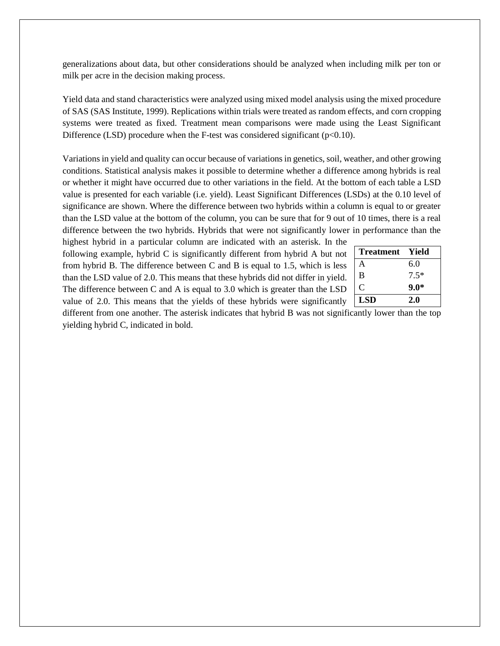generalizations about data, but other considerations should be analyzed when including milk per ton or milk per acre in the decision making process.

Yield data and stand characteristics were analyzed using mixed model analysis using the mixed procedure of SAS (SAS Institute, 1999). Replications within trials were treated as random effects, and corn cropping systems were treated as fixed. Treatment mean comparisons were made using the Least Significant Difference (LSD) procedure when the F-test was considered significant ( $p<0.10$ ).

Variations in yield and quality can occur because of variations in genetics, soil, weather, and other growing conditions. Statistical analysis makes it possible to determine whether a difference among hybrids is real or whether it might have occurred due to other variations in the field. At the bottom of each table a LSD value is presented for each variable (i.e. yield). Least Significant Differences (LSDs) at the 0.10 level of significance are shown. Where the difference between two hybrids within a column is equal to or greater than the LSD value at the bottom of the column, you can be sure that for 9 out of 10 times, there is a real difference between the two hybrids. Hybrids that were not significantly lower in performance than the

highest hybrid in a particular column are indicated with an asterisk. In the following example, hybrid C is significantly different from hybrid A but not from hybrid B. The difference between C and B is equal to 1.5, which is less than the LSD value of 2.0. This means that these hybrids did not differ in yield. The difference between C and A is equal to 3.0 which is greater than the LSD value of 2.0. This means that the yields of these hybrids were significantly

| <b>Treatment</b> | - Yield |
|------------------|---------|
| A                | 6.0     |
| B                | $7.5*$  |
| C                | $9.0*$  |
| <b>LSD</b>       | 2.0     |

different from one another. The asterisk indicates that hybrid B was not significantly lower than the top yielding hybrid C, indicated in bold.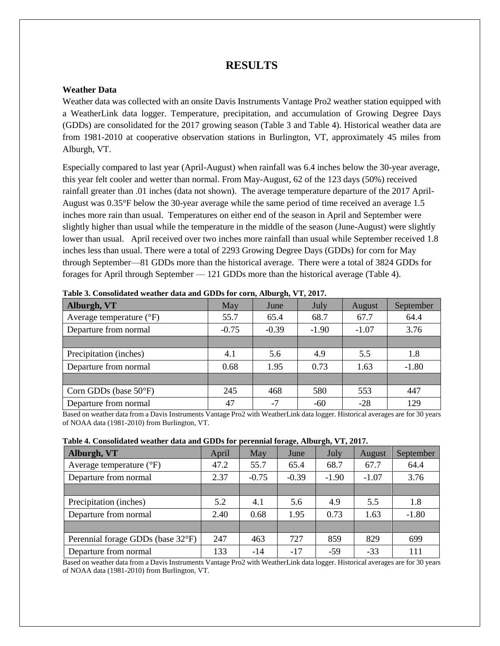## **RESULTS**

## **Weather Data**

Weather data was collected with an onsite Davis Instruments Vantage Pro2 weather station equipped with a WeatherLink data logger. Temperature, precipitation, and accumulation of Growing Degree Days (GDDs) are consolidated for the 2017 growing season (Table 3 and Table 4). Historical weather data are from 1981-2010 at cooperative observation stations in Burlington, VT, approximately 45 miles from Alburgh, VT.

Especially compared to last year (April-August) when rainfall was 6.4 inches below the 30-year average, this year felt cooler and wetter than normal. From May-August, 62 of the 123 days (50%) received rainfall greater than .01 inches (data not shown). The average temperature departure of the 2017 April-August was 0.35°F below the 30-year average while the same period of time received an average 1.5 inches more rain than usual. Temperatures on either end of the season in April and September were slightly higher than usual while the temperature in the middle of the season (June-August) were slightly lower than usual. April received over two inches more rainfall than usual while September received 1.8 inches less than usual. There were a total of 2293 Growing Degree Days (GDDs) for corn for May through September—81 GDDs more than the historical average. There were a total of 3824 GDDs for forages for April through September — 121 GDDs more than the historical average (Table 4).

| Alburgh, VT                       | May     | June    | July    | August  | September |
|-----------------------------------|---------|---------|---------|---------|-----------|
| Average temperature $(^{\circ}F)$ | 55.7    | 65.4    | 68.7    | 67.7    | 64.4      |
| Departure from normal             | $-0.75$ | $-0.39$ | $-1.90$ | $-1.07$ | 3.76      |
|                                   |         |         |         |         |           |
| Precipitation (inches)            | 4.1     | 5.6     | 4.9     | 5.5     | 1.8       |
| Departure from normal             | 0.68    | 1.95    | 0.73    | 1.63    | $-1.80$   |
|                                   |         |         |         |         |           |
| Corn GDDs (base $50^{\circ}$ F)   | 245     | 468     | 580     | 553     | 447       |
| Departure from normal             | 47      | $-7$    | $-60$   | $-28$   | 129       |

**Table 3. Consolidated weather data and GDDs for corn, Alburgh, VT, 2017.**

Based on weather data from a Davis Instruments Vantage Pro2 with WeatherLink data logger. Historical averages are for 30 years of NOAA data (1981-2010) from Burlington, VT.

| Table 4. Consolidated weather data and GDDs for perennial forage, Alburgh, VT, 2017. |  |
|--------------------------------------------------------------------------------------|--|
|--------------------------------------------------------------------------------------|--|

|                                   |       |         | $\sim$  |         |         |           |
|-----------------------------------|-------|---------|---------|---------|---------|-----------|
| Alburgh, VT                       | April | May     | June    | July    | August  | September |
| Average temperature $(^{\circ}F)$ | 47.2  | 55.7    | 65.4    | 68.7    | 67.7    | 64.4      |
| Departure from normal             | 2.37  | $-0.75$ | $-0.39$ | $-1.90$ | $-1.07$ | 3.76      |
|                                   |       |         |         |         |         |           |
| Precipitation (inches)            | 5.2   | 4.1     | 5.6     | 4.9     | 5.5     | 1.8       |
| Departure from normal             | 2.40  | 0.68    | 1.95    | 0.73    | 1.63    | $-1.80$   |
|                                   |       |         |         |         |         |           |
| Perennial forage GDDs (base 32°F) | 247   | 463     | 727     | 859     | 829     | 699       |
| Departure from normal             | 133   | $-14$   | $-17$   | $-59$   | $-33$   | 111       |

Based on weather data from a Davis Instruments Vantage Pro2 with WeatherLink data logger. Historical averages are for 30 years of NOAA data (1981-2010) from Burlington, VT.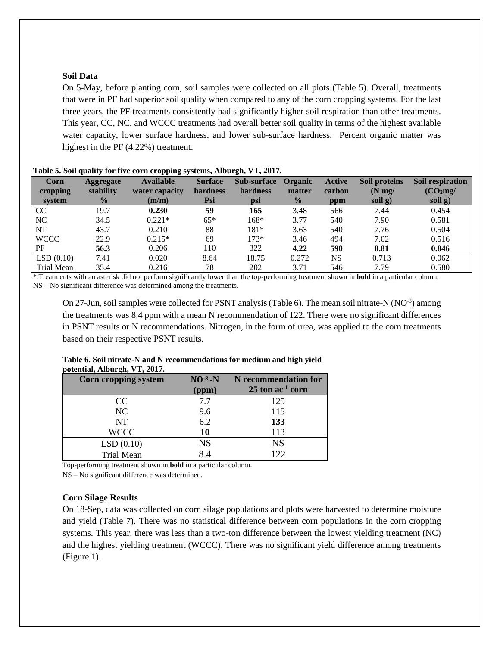## **Soil Data**

On 5-May, before planting corn, soil samples were collected on all plots (Table 5). Overall, treatments that were in PF had superior soil quality when compared to any of the corn cropping systems. For the last three years, the PF treatments consistently had significantly higher soil respiration than other treatments. This year, CC, NC, and WCCC treatments had overall better soil quality in terms of the highest available water capacity, lower surface hardness, and lower sub-surface hardness. Percent organic matter was highest in the PF (4.22%) treatment.

| Corn<br>cropping<br>system | Aggregate<br>stability<br>$\frac{0}{0}$ | <b>Available</b><br>water capacity<br>(m/m) | <b>Surface</b><br>hardness<br>Psi | <b>Sub-surface</b><br>hardness<br>psi | Organic<br>matter<br>$\frac{0}{2}$ | <b>Active</b><br>carbon<br>ppm | Soil proteins<br>$(N \, mg)$<br>soil g) | Soil respiration<br>(CO <sub>2</sub> mg)<br>soil g) |
|----------------------------|-----------------------------------------|---------------------------------------------|-----------------------------------|---------------------------------------|------------------------------------|--------------------------------|-----------------------------------------|-----------------------------------------------------|
| CC                         | 19.7                                    | 0.230                                       | 59                                | 165                                   | 3.48                               | 566                            | 7.44                                    | 0.454                                               |
| NC                         | 34.5                                    | $0.221*$                                    | $65*$                             | $168*$                                | 3.77                               | 540                            | 7.90                                    | 0.581                                               |
| <b>NT</b>                  | 43.7                                    | 0.210                                       | 88                                | $181*$                                | 3.63                               | 540                            | 7.76                                    | 0.504                                               |
| <b>WCCC</b>                | 22.9                                    | $0.215*$                                    | 69                                | $173*$                                | 3.46                               | 494                            | 7.02                                    | 0.516                                               |
| PF                         | 56.3                                    | 0.206                                       | 110                               | 322                                   | 4.22                               | 590                            | 8.81                                    | 0.846                                               |
| LSD(0.10)                  | 7.41                                    | 0.020                                       | 8.64                              | 18.75                                 | 0.272                              | <b>NS</b>                      | 0.713                                   | 0.062                                               |
| Trial Mean                 | 35.4                                    | 0.216                                       | 78                                | 202                                   | 3.71                               | 546                            | 7.79                                    | 0.580                                               |

#### **Table 5. Soil quality for five corn cropping systems, Alburgh, VT, 2017.**

\* Treatments with an asterisk did not perform significantly lower than the top-performing treatment shown in **bold** in a particular column. NS – No significant difference was determined among the treatments.

On 27-Jun, soil samples were collected for PSNT analysis (Table 6). The mean soil nitrate-N (NO<sup>-3</sup>) among the treatments was 8.4 ppm with a mean N recommendation of 122. There were no significant differences in PSNT results or N recommendations. Nitrogen, in the form of urea, was applied to the corn treatments based on their respective PSNT results.

| $1 - 20 = 20$        |                 |                                |
|----------------------|-----------------|--------------------------------|
| Corn cropping system | $NO^{-3}$ - $N$ | N recommendation for           |
|                      | (ppm)           | $25$ ton ac <sup>-1</sup> corn |
| CC                   | 7.7             | 125                            |
| NC                   | 9.6             | 115                            |
| <b>NT</b>            | 6.2             | 133                            |
| <b>WCCC</b>          | 10              | 113                            |
| LSD(0.10)            | <b>NS</b>       | <b>NS</b>                      |
| <b>Trial Mean</b>    | 8.4             | 122                            |

#### **Table 6. Soil nitrate-N and N recommendations for medium and high yield potential, Alburgh, VT, 2017.**

Top-performing treatment shown in **bold** in a particular column.

NS – No significant difference was determined.

#### **Corn Silage Results**

On 18-Sep, data was collected on corn silage populations and plots were harvested to determine moisture and yield (Table 7). There was no statistical difference between corn populations in the corn cropping systems. This year, there was less than a two-ton difference between the lowest yielding treatment (NC) and the highest yielding treatment (WCCC). There was no significant yield difference among treatments (Figure 1).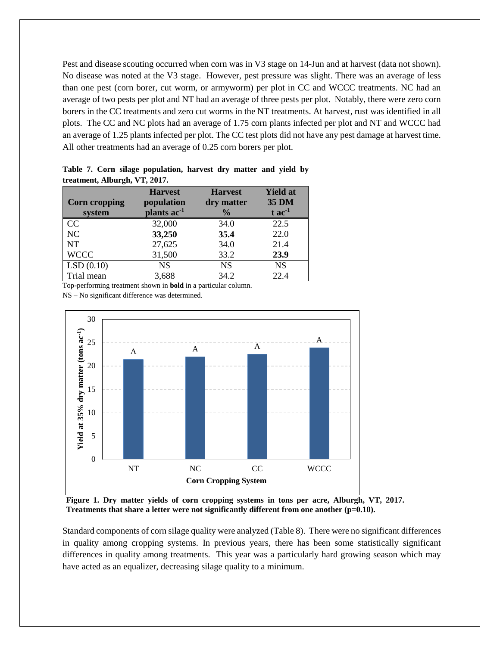Pest and disease scouting occurred when corn was in V3 stage on 14-Jun and at harvest (data not shown). No disease was noted at the V3 stage. However, pest pressure was slight. There was an average of less than one pest (corn borer, cut worm, or armyworm) per plot in CC and WCCC treatments. NC had an average of two pests per plot and NT had an average of three pests per plot. Notably, there were zero corn borers in the CC treatments and zero cut worms in the NT treatments. At harvest, rust was identified in all plots. The CC and NC plots had an average of 1.75 corn plants infected per plot and NT and WCCC had an average of 1.25 plants infected per plot. The CC test plots did not have any pest damage at harvest time. All other treatments had an average of 0.25 corn borers per plot.

|                      | <b>Harvest</b>          | <b>Harvest</b> | <b>Yield at</b>      |
|----------------------|-------------------------|----------------|----------------------|
| <b>Corn cropping</b> | population              | dry matter     | <b>35 DM</b>         |
| system               | plants ac <sup>-1</sup> | $\frac{6}{10}$ | $t$ ac <sup>-1</sup> |
| CC                   | 32,000                  | 34.0           | 22.5                 |
| NC                   | 33,250                  | 35.4           | 22.0                 |
| <b>NT</b>            | 27,625                  | 34.0           | 21.4                 |
| <b>WCCC</b>          | 31,500                  | 33.2           | 23.9                 |
| LSD(0.10)            | <b>NS</b>               | <b>NS</b>      | <b>NS</b>            |
| Trial mean           | 3,688                   | 34.2           | 22.4                 |

**Table 7. Corn silage population, harvest dry matter and yield by treatment, Alburgh, VT, 2017.**

Top-performing treatment shown in **bold** in a particular column.

NS – No significant difference was determined.



**Figure 1. Dry matter yields of corn cropping systems in tons per acre, Alburgh, VT, 2017. Treatments that share a letter were not significantly different from one another (p=0.10).** 

Standard components of corn silage quality were analyzed (Table 8). There were no significant differences in quality among cropping systems. In previous years, there has been some statistically significant differences in quality among treatments. This year was a particularly hard growing season which may have acted as an equalizer, decreasing silage quality to a minimum.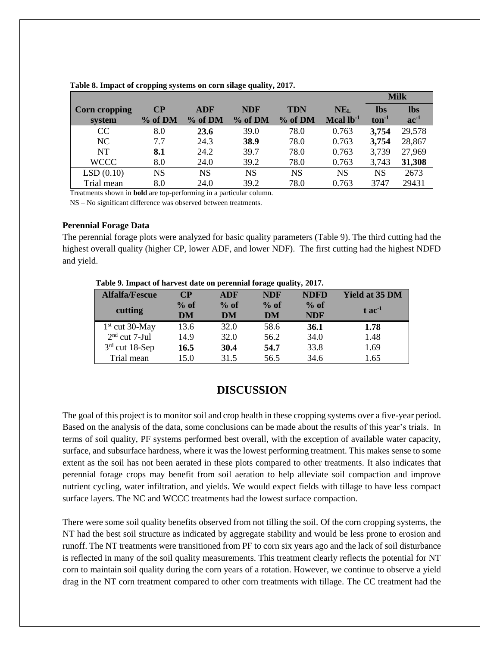|                      |          |            |            |            |                 |            | <b>Milk</b> |
|----------------------|----------|------------|------------|------------|-----------------|------------|-------------|
| <b>Corn cropping</b> | $\bf CP$ | <b>ADF</b> | <b>NDF</b> | <b>TDN</b> | NE <sub>L</sub> | <b>lbs</b> | <b>lbs</b>  |
| system               | % of DM  | $%$ of DM  | % of DM    | % of DM    | Mcal $lb^{-1}$  | $ton-1$    | $ac^{-1}$   |
| CC                   | 8.0      | 23.6       | 39.0       | 78.0       | 0.763           | 3,754      | 29,578      |
| NC                   | 7.7      | 24.3       | 38.9       | 78.0       | 0.763           | 3,754      | 28,867      |
| <b>NT</b>            | 8.1      | 24.2       | 39.7       | 78.0       | 0.763           | 3,739      | 27,969      |
| <b>WCCC</b>          | 8.0      | 24.0       | 39.2       | 78.0       | 0.763           | 3,743      | 31,308      |
| LSD(0.10)            | NS       | NS         | NS         | <b>NS</b>  | <b>NS</b>       | NS         | 2673        |
| Trial mean           | 8.0      | 24.0       | 39.2       | 78.0       | 0.763           | 3747       | 29431       |

**Table 8. Impact of cropping systems on corn silage quality, 2017.**

Treatments shown in **bold** are top-performing in a particular column.

NS – No significant difference was observed between treatments.

### **Perennial Forage Data**

The perennial forage plots were analyzed for basic quality parameters (Table 9). The third cutting had the highest overall quality (higher CP, lower ADF, and lower NDF). The first cutting had the highest NDFD and yield.

**Table 9. Impact of harvest date on perennial forage quality, 2017.**

| <b>Alfalfa/Fescue</b> | <b>CP</b> | <b>ADF</b> | <b>NDF</b> | <b>NDFD</b> | <b>Yield at 35 DM</b> |
|-----------------------|-----------|------------|------------|-------------|-----------------------|
| cutting               | $%$ of    | $%$ of     | $%$ of     | $%$ of      | $t$ ac <sup>-1</sup>  |
|                       | DM        | DM         | DM         | <b>NDF</b>  |                       |
| $1st$ cut 30-May      | 13.6      | 32.0       | 58.6       | 36.1        | 1.78                  |
| $2nd$ cut 7-Jul       | 14.9      | 32.0       | 56.2       | 34.0        | 1.48                  |
| $3rd$ cut 18-Sep      | 16.5      | 30.4       | 54.7       | 33.8        | 1.69                  |
| Trial mean            | 15.0      | 31.5       | 56.5       | 34.6        | 1.65                  |

# **DISCUSSION**

The goal of this project is to monitor soil and crop health in these cropping systems over a five-year period. Based on the analysis of the data, some conclusions can be made about the results of this year's trials. In terms of soil quality, PF systems performed best overall, with the exception of available water capacity, surface, and subsurface hardness, where it was the lowest performing treatment. This makes sense to some extent as the soil has not been aerated in these plots compared to other treatments. It also indicates that perennial forage crops may benefit from soil aeration to help alleviate soil compaction and improve nutrient cycling, water infiltration, and yields. We would expect fields with tillage to have less compact surface layers. The NC and WCCC treatments had the lowest surface compaction.

There were some soil quality benefits observed from not tilling the soil. Of the corn cropping systems, the NT had the best soil structure as indicated by aggregate stability and would be less prone to erosion and runoff. The NT treatments were transitioned from PF to corn six years ago and the lack of soil disturbance is reflected in many of the soil quality measurements. This treatment clearly reflects the potential for NT corn to maintain soil quality during the corn years of a rotation. However, we continue to observe a yield drag in the NT corn treatment compared to other corn treatments with tillage. The CC treatment had the